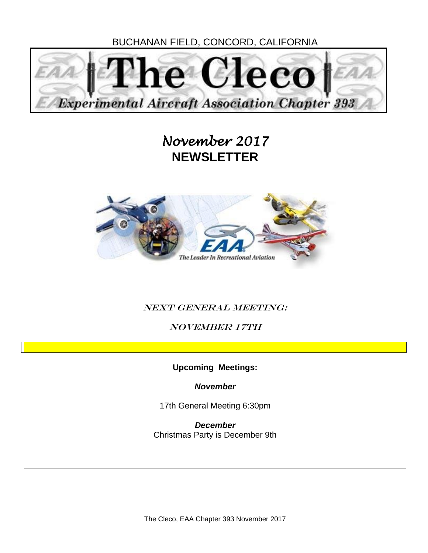BUCHANAN FIELD, CONCORD, CALIFORNIA



## *November 2017*  **NEWSLETTER**



### NEXT GENERAL MEETING:

November 17th

**Upcoming Meetings:**

*November*

17th General Meeting 6:30pm

*December*  Christmas Party is December 9th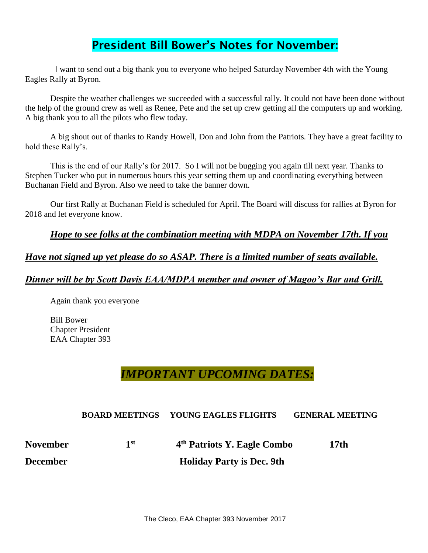## **President Bill Bower's Notes for November:**

 I want to send out a big thank you to everyone who helped Saturday November 4th with the Young Eagles Rally at Byron.

 Despite the weather challenges we succeeded with a successful rally. It could not have been done without the help of the ground crew as well as Renee, Pete and the set up crew getting all the computers up and working. A big thank you to all the pilots who flew today.

A big shout out of thanks to Randy Howell, Don and John from the Patriots. They have a great facility to hold these Rally's.

This is the end of our Rally's for 2017. So I will not be bugging you again till next year. Thanks to Stephen Tucker who put in numerous hours this year setting them up and coordinating everything between Buchanan Field and Byron. Also we need to take the banner down.

Our first Rally at Buchanan Field is scheduled for April. The Board will discuss for rallies at Byron for 2018 and let everyone know.

*Hope to see folks at the combination meeting with MDPA on November 17th. If you* 

*Have not signed up yet please do so ASAP. There is a limited number of seats available.* 

#### *Dinner will be by Scott Davis EAA/MDPA member and owner of Magoo's Bar and Grill.*

Again thank you everyone

Bill Bower Chapter President EAA Chapter 393

## *IMPORTANT UPCOMING DATES:*

#### **BOARD MEETINGS YOUNG EAGLES FLIGHTS GENERAL MEETING**

| <b>November</b> | 1 st | 4 <sup>th</sup> Patriots Y. Eagle Combo | 17th |
|-----------------|------|-----------------------------------------|------|
| December        |      | <b>Holiday Party is Dec. 9th</b>        |      |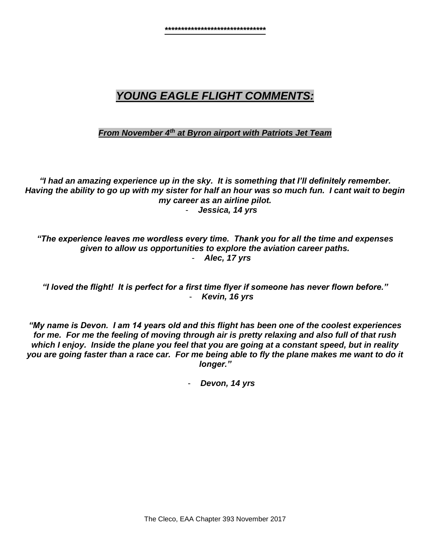## *YOUNG EAGLE FLIGHT COMMENTS:*

#### *From November 4th at Byron airport with Patriots Jet Team*

*"I had an amazing experience up in the sky. It is something that I'll definitely remember. Having the ability to go up with my sister for half an hour was so much fun. I cant wait to begin my career as an airline pilot.* - *Jessica, 14 yrs*

*"The experience leaves me wordless every time. Thank you for all the time and expenses given to allow us opportunities to explore the aviation career paths.* - *Alec, 17 yrs*

*"I loved the flight! It is perfect for a first time flyer if someone has never flown before."* - *Kevin, 16 yrs*

*"My name is Devon. I am 14 years old and this flight has been one of the coolest experiences for me. For me the feeling of moving through air is pretty relaxing and also full of that rush which I enjoy. Inside the plane you feel that you are going at a constant speed, but in reality you are going faster than a race car. For me being able to fly the plane makes me want to do it longer."*

- *Devon, 14 yrs*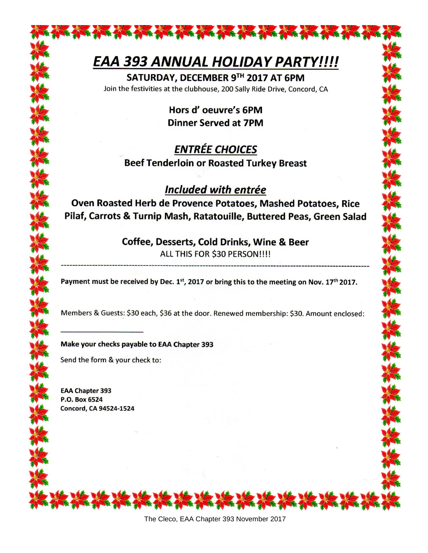# EAA 393 ANNUAL HOLIDAY PARTY!!!!

SATURDAY, DECEMBER 9TH 2017 AT 6PM Join the festivities at the clubhouse, 200 Sally Ride Drive, Concord, CA

> Hors d'oeuvre's 6PM **Dinner Served at 7PM**

## **ENTRÉE CHOICES Beef Tenderloin or Roasted Turkey Breast**

## **Included with entrée**

Oven Roasted Herb de Provence Potatoes, Mashed Potatoes, Rice Pilaf, Carrots & Turnip Mash, Ratatouille, Buttered Peas, Green Salad

#### Coffee, Desserts, Cold Drinks, Wine & Beer ALL THIS FOR \$30 PERSON!!!!

Payment must be received by Dec.  $1^{st}$ , 2017 or bring this to the meeting on Nov. 17<sup>th</sup> 2017.

Members & Guests: \$30 each, \$36 at the door. Renewed membership: \$30. Amount enclosed:

#### Make your checks payable to EAA Chapter 393

Send the form & your check to:

**EAA Chapter 393** P.O. Box 6524 **Concord, CA 94524-1524**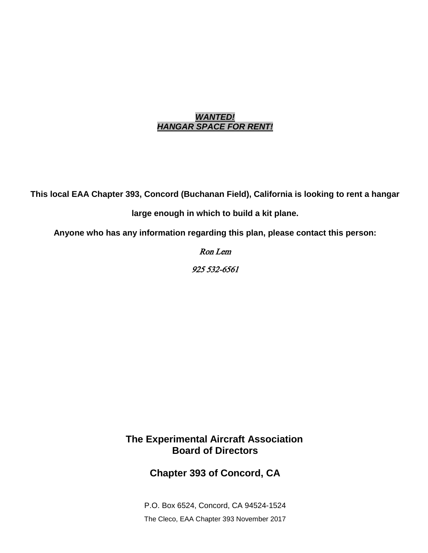#### *WANTED! HANGAR SPACE FOR RENT!*

**This local EAA Chapter 393, Concord (Buchanan Field), California is looking to rent a hangar** 

**large enough in which to build a kit plane.**

**Anyone who has any information regarding this plan, please contact this person:**

Ron Lem 925 532-6561

**The Experimental Aircraft Association Board of Directors**

**Chapter 393 of Concord, CA**

The Cleco, EAA Chapter 393 November 2017 P.O. Box 6524, Concord, CA 94524-1524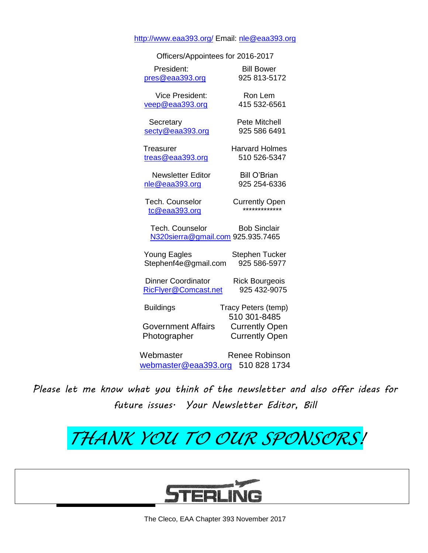#### <http://www.eaa393.org/> Email: [nle@eaa393.org](mailto:nle@eaa393.org)

| Officers/Appointees for 2016-2017                           |                                     |
|-------------------------------------------------------------|-------------------------------------|
| President:                                                  | <b>Bill Bower</b>                   |
| pres@eaa393.org                                             | 925 813-5172                        |
| <b>Vice President:</b>                                      | Ron Lem                             |
| veep@eaa393.org                                             | 415 532-6561                        |
| Secretary                                                   | Pete Mitchell                       |
| secty@eaa393.org                                            | 925 586 6491                        |
| Treasurer                                                   | <b>Harvard Holmes</b>               |
| treas@eaa393.org                                            | 510 526-5347                        |
| <b>Newsletter Editor</b>                                    | <b>Bill O'Brian</b>                 |
| nle@eaa393.org                                              | 925 254-6336                        |
| Tech. Counselor                                             | <b>Currently Open</b>               |
| tc@eaa393.org                                               | ************                        |
| <b>Tech. Counselor</b><br>N320sierra@gmail.com 925.935.7465 | <b>Bob Sinclair</b>                 |
| <b>Young Eagles</b>                                         | <b>Stephen Tucker</b>               |
| Stephenf4e@gmail.com                                        | 925 586-5977                        |
| <b>Dinner Coordinator</b>                                   | <b>Rick Bourgeois</b>               |
| RicFlyer@Comcast.net                                        | 925 432-9075                        |
| <b>Buildings</b>                                            | Tracy Peters (temp)<br>510 301-8485 |
| <b>Government Affairs</b>                                   | <b>Currently Open</b>               |
| Photographer                                                | <b>Currently Open</b>               |
| Webmaster                                                   | <b>Renee Robinson</b>               |
| webmaster@eaa393.org                                        | 510 828 1734                        |

*Please let me know what you think of the newsletter and also offer ideas for future issues. Your Newsletter Editor, Bill*

# *THANK YOU TO OUR SPONSORS!*

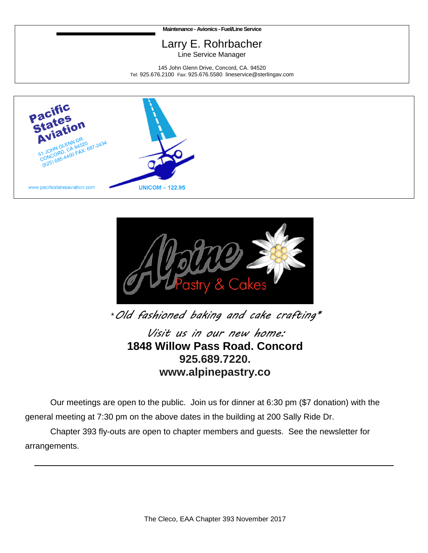**Maintenance - Avionics -Fuel/Line Service**

## Larry E. Rohrbacher

Line Service Manager

145 John Glenn Drive, Concord, CA. 94520 Tel: 925.676.2100 Fax: 925.676.5580 lineservice@sterlingav.com





\**Old fashioned baking and cake crafting\**

*Visit us in our new home:* **1848 Willow Pass Road. Concord 925.689.7220. www.alpinepastry.co**

Our meetings are open to the public. Join us for dinner at 6:30 pm (\$7 donation) with the general meeting at 7:30 pm on the above dates in the building at 200 Sally Ride Dr.

 Chapter 393 fly-outs are open to chapter members and guests. See the newsletter for arrangements.